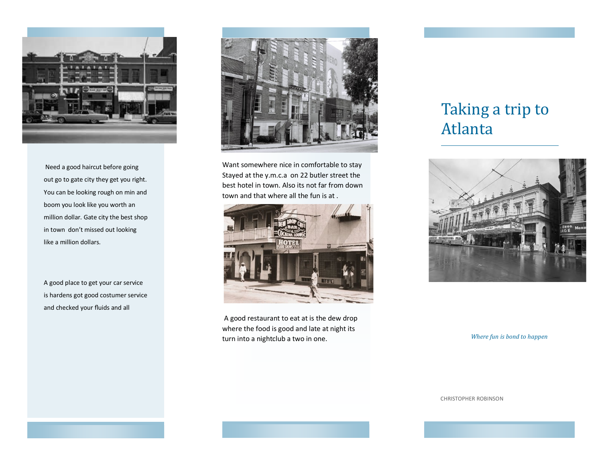

Need a good haircut before going out go to gate city they get you right. You can be looking rough on min and boom you look like you worth an million dollar. Gate city the best shop in town don't missed out looking like a million dollars.

A good place to get your car service is hardens got good costumer service and checked your fluids and all



Want somewhere nice in comfortable to stay Stayed at the y.m.c.a on 22 butler street the best hotel in town. Also its not far from down town and that where all the fun is at .



A good restaurant to eat at is the dew drop where the food is good and late at night its turn into a nightclub a two in one.

## Taking a trip to Atlanta



*Where fun is bond to happen* 

CHRISTOPHER ROBINSON